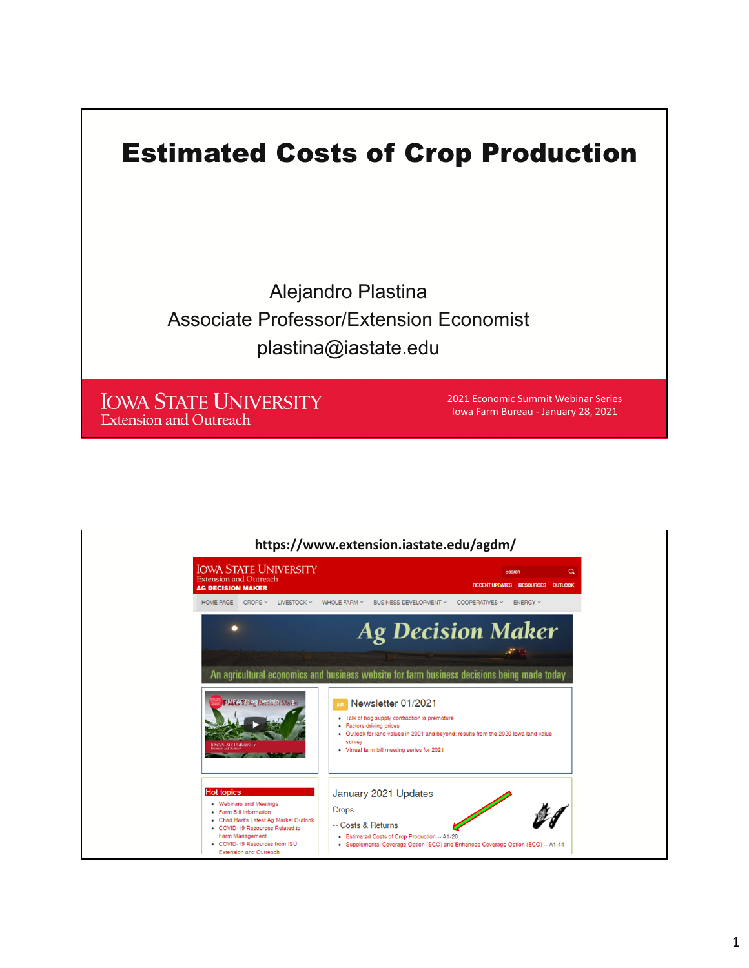

| https://www.extension.iastate.edu/agdm/                                                                                                                                                                                                   |                                                                                                                                                                                                                                                             |
|-------------------------------------------------------------------------------------------------------------------------------------------------------------------------------------------------------------------------------------------|-------------------------------------------------------------------------------------------------------------------------------------------------------------------------------------------------------------------------------------------------------------|
| <b>IOWA STATE UNIVERSITY</b><br><b>Extension and Outreach</b><br><b>AG DECISION MAKER</b>                                                                                                                                                 | $\alpha$<br><b>Search</b><br>RECENT UPDATES RESOURCES OUTLOOK                                                                                                                                                                                               |
| HOME PAGE CROPS Y<br>LIVESTOCK Y                                                                                                                                                                                                          | WHOLE FARM Y<br>BUSINESS DEVELOPMENT Y<br>COOPERATIVES Y<br>ENERGY Y                                                                                                                                                                                        |
|                                                                                                                                                                                                                                           | <b>Ag Decision Maker</b><br>An agricultural economics and business website for farm business decisions being made today                                                                                                                                     |
| <b>IMPACT: Ag Decisio Maker</b><br><b><i>PRA STATE HMPERSH</i></b>                                                                                                                                                                        | <b>Poff</b> Newsletter 01/2021<br>• Talk of hog supply contraction is premature<br>• Factors driving prices<br>. Outlook for land values in 2021 and beyond: results from the 2020 lowa land value<br>survey<br>• Virtual farm bill meeting series for 2021 |
| <b>Hot topics</b><br>• Webinars and Meetings<br>• Farm Bill Information<br>. Chad Hart's Latest Ag Market Outlook<br>• COVID-19 Resources Related to<br>Farm Management<br>• COVID-19 Resources from ISU<br><b>Extension and Outreach</b> | January 2021 Updates<br>Crops<br>-- Costs & Returns<br>• Estimated Costs of Crop Production -- A1-20<br>· Supplemental Coverage Option (SCO) and Enhanced Coverage Option (ECO) -- A1-44                                                                    |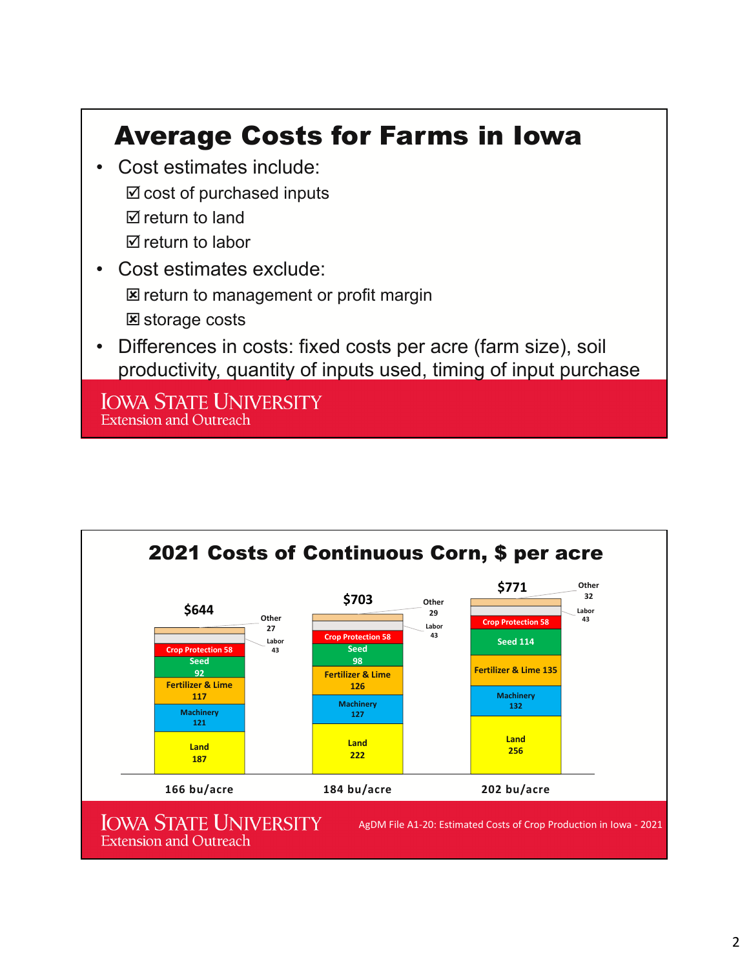## Average Costs for Farms in Iowa

- Cost estimates include:  $\boxtimes$  cost of purchased inputs  $\boxtimes$  return to land  $\boxtimes$  return to labor
- Cost estimates exclude: **E** return to management or profit margin **E** storage costs
- Differences in costs: fixed costs per acre (farm size), soil productivity, quantity of inputs used, timing of input purchase

**IOWA STATE UNIVERSITY Extension and Outreach** 

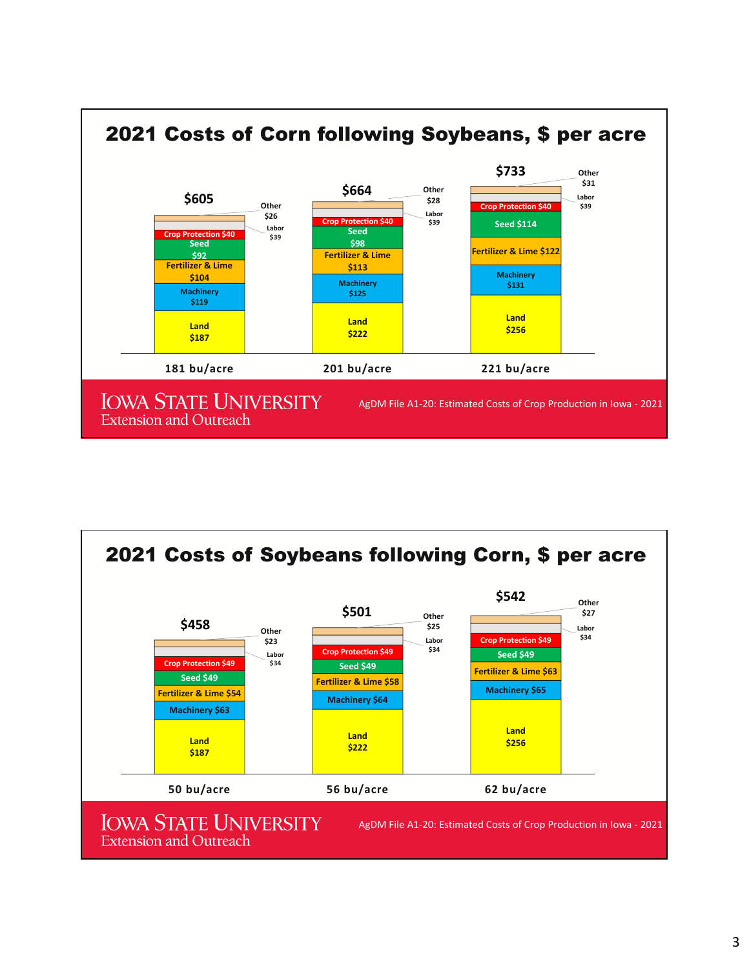

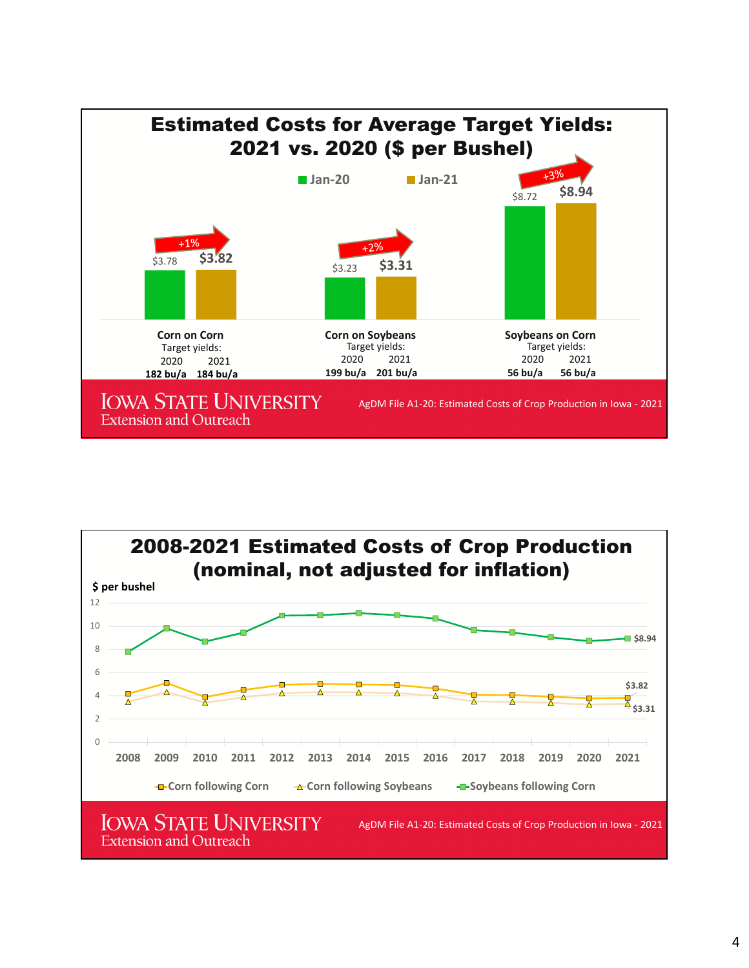